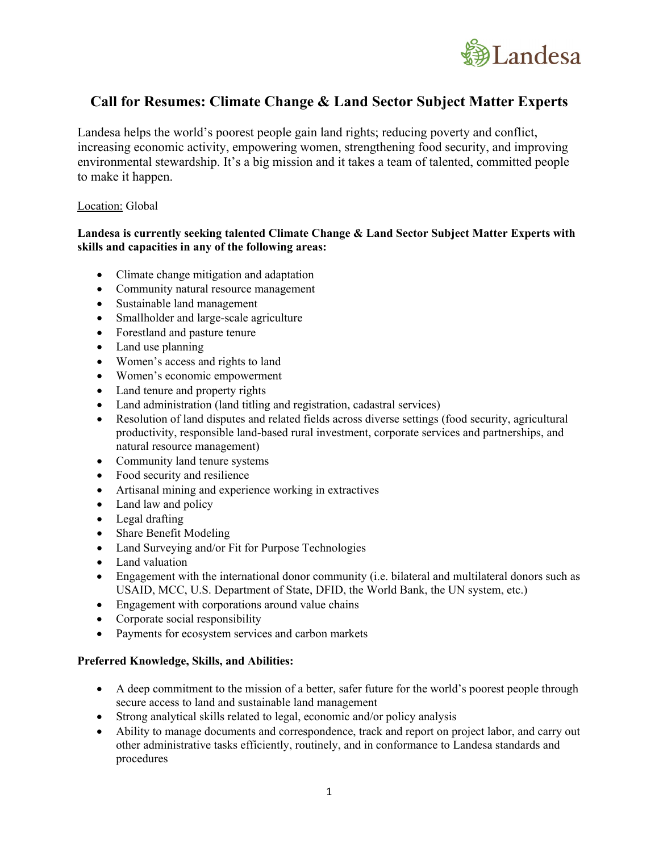

# **Call for Resumes: Climate Change & Land Sector Subject Matter Experts**

Landesa helps the world's poorest people gain land rights; reducing poverty and conflict, increasing economic activity, empowering women, strengthening food security, and improving environmental stewardship. It's a big mission and it takes a team of talented, committed people to make it happen.

## Location: Global

## **Landesa is currently seeking talented Climate Change & Land Sector Subject Matter Experts with skills and capacities in any of the following areas:**

- Climate change mitigation and adaptation
- Community natural resource management
- Sustainable land management
- Smallholder and large-scale agriculture
- Forestland and pasture tenure
- Land use planning
- Women's access and rights to land
- Women's economic empowerment
- Land tenure and property rights
- Land administration (land titling and registration, cadastral services)
- Resolution of land disputes and related fields across diverse settings (food security, agricultural productivity, responsible land-based rural investment, corporate services and partnerships, and natural resource management)
- Community land tenure systems
- Food security and resilience
- Artisanal mining and experience working in extractives
- Land law and policy
- Legal drafting
- Share Benefit Modeling
- Land Surveying and/or Fit for Purpose Technologies
- Land valuation
- Engagement with the international donor community (i.e. bilateral and multilateral donors such as USAID, MCC, U.S. Department of State, DFID, the World Bank, the UN system, etc.)
- Engagement with corporations around value chains
- Corporate social responsibility
- Payments for ecosystem services and carbon markets

#### **Preferred Knowledge, Skills, and Abilities:**

- A deep commitment to the mission of a better, safer future for the world's poorest people through secure access to land and sustainable land management
- Strong analytical skills related to legal, economic and/or policy analysis
- Ability to manage documents and correspondence, track and report on project labor, and carry out other administrative tasks efficiently, routinely, and in conformance to Landesa standards and procedures